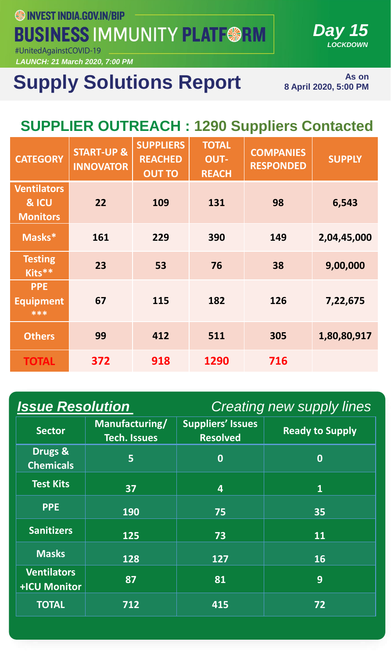**SSINVEST INDIA.GOV.IN/BIP** 

**BUSINESS IMMUNITY PLATF@RM** 

#UnitedAgainstCOVID-19

*LAUNCH: 21 March 2020, 7:00 PM*

# **Supply Solutions Report**

**As on 8 April 2020, 5:00 PM** 

*Day 15*

*LOCKDOWN*

### **SUPPLIER OUTREACH : 1290 Suppliers Contacted**

| <b>CATEGORY</b>                                | <b>START-UP &amp;</b><br><b>INNOVATOR</b> | <b>SUPPLIERS</b><br><b>REACHED</b><br><b>OUT TO</b> | <b>TOTAL</b><br><b>OUT-</b><br><b>REACH</b> | <b>COMPANIES</b><br><b>RESPONDED</b> | <b>SUPPLY</b> |
|------------------------------------------------|-------------------------------------------|-----------------------------------------------------|---------------------------------------------|--------------------------------------|---------------|
| <b>Ventilators</b><br>& ICU<br><b>Monitors</b> | 22                                        | 109                                                 | 131                                         | 98                                   | 6,543         |
| Masks*                                         | 161                                       | 229                                                 | 390                                         | 149                                  | 2,04,45,000   |
| <b>Testing</b><br>Kits**                       | 23                                        | 53                                                  | 76                                          | 38                                   | 9,00,000      |
| <b>PPE</b><br><b>Equipment</b><br>***          | 67                                        | 115                                                 | 182                                         | 126                                  | 7,22,675      |
| <b>Others</b>                                  | 99                                        | 412                                                 | 511                                         | 305                                  | 1,80,80,917   |
| <b>TOTAL</b>                                   | 372                                       | 918                                                 | 1290                                        | 716                                  |               |

| <b>Issue Resolution</b>            |                                       | <b>Creating new supply lines</b>            |                        |  |
|------------------------------------|---------------------------------------|---------------------------------------------|------------------------|--|
| <b>Sector</b>                      | Manufacturing/<br><b>Tech. Issues</b> | <b>Suppliers' Issues</b><br><b>Resolved</b> | <b>Ready to Supply</b> |  |
| Drugs &<br><b>Chemicals</b>        | $\overline{5}$                        | $\bf{0}$                                    | $\bf{0}$               |  |
| <b>Test Kits</b>                   | 37                                    | $\overline{\mathbf{4}}$                     | $\mathbf{1}$           |  |
| <b>PPE</b>                         | <b>190</b>                            | 75                                          | 35                     |  |
| <b>Sanitizers</b>                  | 125                                   | 73                                          | 11                     |  |
| <b>Masks</b>                       | 128                                   | 127                                         | <b>16</b>              |  |
| <b>Ventilators</b><br>+ICU Monitor | 87                                    | 81                                          | 9                      |  |
| <b>TOTAL</b>                       | 712                                   | 415                                         | 72                     |  |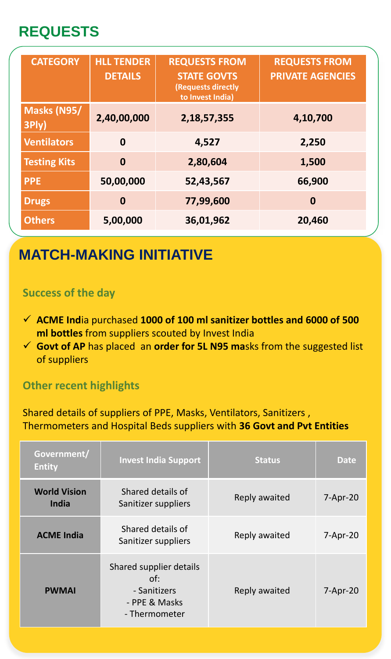### **REQUESTS**

| <b>CATEGORY</b>      | <b>HLL TENDER</b><br><b>DETAILS</b> | <b>REQUESTS FROM</b><br><b>STATE GOVTS</b><br><b>(Requests directly</b><br>to Invest India) | <b>REQUESTS FROM</b><br><b>PRIVATE AGENCIES</b> |
|----------------------|-------------------------------------|---------------------------------------------------------------------------------------------|-------------------------------------------------|
| Masks (N95/<br>3Ply) | 2,40,00,000                         | 2,18,57,355                                                                                 | 4,10,700                                        |
| <b>Ventilators</b>   | $\mathbf 0$                         | 4,527                                                                                       | 2,250                                           |
| <b>Testing Kits</b>  | $\mathbf 0$                         | 2,80,604                                                                                    | 1,500                                           |
| <b>PPE</b>           | 50,00,000                           | 52,43,567                                                                                   | 66,900                                          |
| <b>Drugs</b>         | $\mathbf 0$                         | 77,99,600                                                                                   | $\boldsymbol{0}$                                |
| <b>Others</b>        | 5,00,000                            | 36,01,962                                                                                   | 20,460                                          |

*LOCKDOWN*

### **MATCH-MAKING INITIATIVE**

#### **Success of the day**

- ✓ **ACME Ind**ia purchased **1000 of 100 ml sanitizer bottles and 6000 of 500 ml bottles** from suppliers scouted by Invest India
- ✓ **Govt of AP** has placed an **order for 5L N95 ma**sks from the suggested list of suppliers

#### **Other recent highlights**

Shared details of suppliers of PPE, Masks, Ventilators, Sanitizers , Thermometers and Hospital Beds suppliers with **36 Govt and Pvt Entities**

| Government/<br><b>Entity</b> | <b>Invest India Support</b>                                                      | <b>Status</b> | <b>Date</b> |
|------------------------------|----------------------------------------------------------------------------------|---------------|-------------|
| <b>World Vision</b><br>India | Shared details of<br>Sanitizer suppliers                                         | Reply awaited | $7-Apr-20$  |
| <b>ACME India</b>            | Shared details of<br>Sanitizer suppliers                                         | Reply awaited | $7-Apr-20$  |
| <b>PWMAI</b>                 | Shared supplier details<br>of:<br>- Sanitizers<br>- PPE & Masks<br>- Thermometer | Reply awaited | $7-Apr-20$  |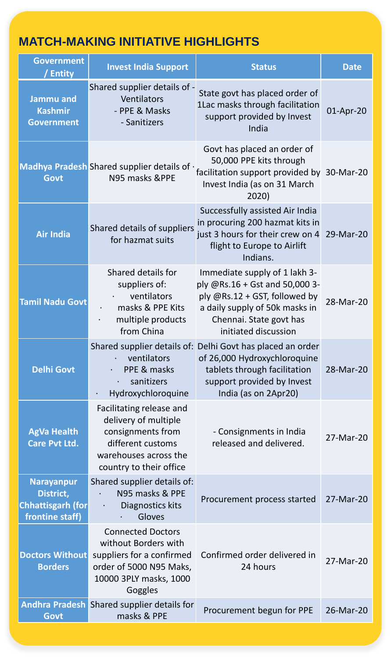#### **MATCH-MAKING INITIATIVE HIGHLIGHTS**

| <b>Government</b><br>/ Entity                                                 | <b>Invest India Support</b>                                                                                                                    | <b>Status</b>                                                                                                                                                                         | <b>Date</b> |
|-------------------------------------------------------------------------------|------------------------------------------------------------------------------------------------------------------------------------------------|---------------------------------------------------------------------------------------------------------------------------------------------------------------------------------------|-------------|
| <b>Jammu and</b><br><b>Kashmir</b><br><b>Government</b>                       | Shared supplier details of -<br>Ventilators<br>- PPE & Masks<br>- Sanitizers                                                                   | State govt has placed order of<br>1Lac masks through facilitation<br>support provided by Invest<br>India                                                                              | 01-Apr-20   |
| <b>Govt</b>                                                                   | Madhya Pradesh Shared supplier details of $\cdot$<br>N95 masks &PPE                                                                            | Govt has placed an order of<br>50,000 PPE kits through<br>facilitation support provided by 30-Mar-20<br>Invest India (as on 31 March<br>2020)                                         |             |
| <b>Air India</b>                                                              | Shared details of suppliers<br>for hazmat suits                                                                                                | Successfully assisted Air India<br>in procuring 200 hazmat kits in<br>just 3 hours for their crew on 4 29-Mar-20<br>flight to Europe to Airlift<br>Indians.                           |             |
| <b>Tamil Nadu Govt</b>                                                        | Shared details for<br>suppliers of:<br>ventilators<br>masks & PPE Kits<br>multiple products<br>from China                                      | Immediate supply of 1 lakh 3-<br>ply @Rs.16 + Gst and 50,000 3-<br>ply @Rs.12 + GST, followed by<br>a daily supply of 50k masks in<br>Chennai. State govt has<br>initiated discussion | 28-Mar-20   |
| <b>Delhi Govt</b>                                                             | ventilators<br>PPE & masks<br>$\bullet$<br>sanitizers<br>$\bullet$<br>Hydroxychloroquine                                                       | Shared supplier details of: Delhi Govt has placed an order<br>of 26,000 Hydroxychloroquine<br>tablets through facilitation<br>support provided by Invest<br>India (as on 2Apr20)      | 28-Mar-20   |
| <b>AgVa Health</b><br>Care Pvt Ltd.                                           | Facilitating release and<br>delivery of multiple<br>consignments from<br>different customs<br>warehouses across the<br>country to their office | - Consignments in India<br>released and delivered.                                                                                                                                    | 27-Mar-20   |
| <b>Narayanpur</b><br>District,<br><b>Chhattisgarh (for</b><br>frontine staff) | Shared supplier details of:<br>N95 masks & PPE<br>Diagnostics kits<br>$\bullet$<br>Gloves                                                      | Procurement process started                                                                                                                                                           | 27-Mar-20   |
| <b>Doctors Without</b><br><b>Borders</b>                                      | <b>Connected Doctors</b><br>without Borders with<br>suppliers for a confirmed<br>order of 5000 N95 Maks,<br>10000 3PLY masks, 1000<br>Goggles  | Confirmed order delivered in<br>24 hours                                                                                                                                              | 27-Mar-20   |
| Govt                                                                          | Andhra Pradesh Shared supplier details for<br>masks & PPE                                                                                      | Procurement begun for PPE                                                                                                                                                             | 26-Mar-20   |